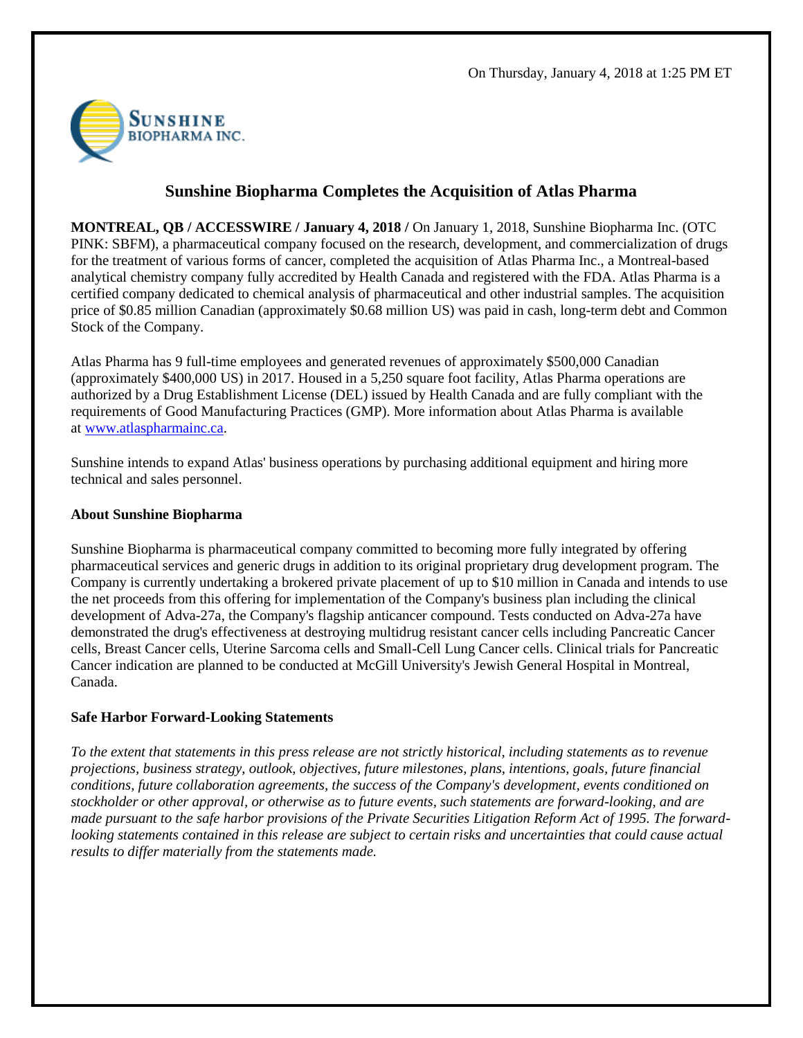

## **Sunshine Biopharma Completes the Acquisition of Atlas Pharma**

**MONTREAL, QB / ACCESSWIRE / January 4, 2018 /** On January 1, 2018, Sunshine Biopharma Inc. (OTC PINK: SBFM), a pharmaceutical company focused on the research, development, and commercialization of drugs for the treatment of various forms of cancer, completed the acquisition of Atlas Pharma Inc., a Montreal-based analytical chemistry company fully accredited by Health Canada and registered with the FDA. Atlas Pharma is a certified company dedicated to chemical analysis of pharmaceutical and other industrial samples. The acquisition price of \$0.85 million Canadian (approximately \$0.68 million US) was paid in cash, long-term debt and Common Stock of the Company.

Atlas Pharma has 9 full-time employees and generated revenues of approximately \$500,000 Canadian (approximately \$400,000 US) in 2017. Housed in a 5,250 square foot facility, Atlas Pharma operations are authorized by a Drug Establishment License (DEL) issued by Health Canada and are fully compliant with the requirements of Good Manufacturing Practices (GMP). More information about Atlas Pharma is available at [www.atlaspharmainc.ca.](http://pr.report/0GJ9E5fZ)

Sunshine intends to expand Atlas' business operations by purchasing additional equipment and hiring more technical and sales personnel.

## **About Sunshine Biopharma**

Sunshine Biopharma is pharmaceutical company committed to becoming more fully integrated by offering pharmaceutical services and generic drugs in addition to its original proprietary drug development program. The Company is currently undertaking a brokered private placement of up to \$10 million in Canada and intends to use the net proceeds from this offering for implementation of the Company's business plan including the clinical development of Adva-27a, the Company's flagship anticancer compound. Tests conducted on Adva-27a have demonstrated the drug's effectiveness at destroying multidrug resistant cancer cells including Pancreatic Cancer cells, Breast Cancer cells, Uterine Sarcoma cells and Small-Cell Lung Cancer cells. Clinical trials for Pancreatic Cancer indication are planned to be conducted at McGill University's Jewish General Hospital in Montreal, Canada.

## **Safe Harbor Forward-Looking Statements**

*To the extent that statements in this press release are not strictly historical, including statements as to revenue projections, business strategy, outlook, objectives, future milestones, plans, intentions, goals, future financial conditions, future collaboration agreements, the success of the Company's development, events conditioned on stockholder or other approval, or otherwise as to future events, such statements are forward-looking, and are made pursuant to the safe harbor provisions of the Private Securities Litigation Reform Act of 1995. The forwardlooking statements contained in this release are subject to certain risks and uncertainties that could cause actual results to differ materially from the statements made.*